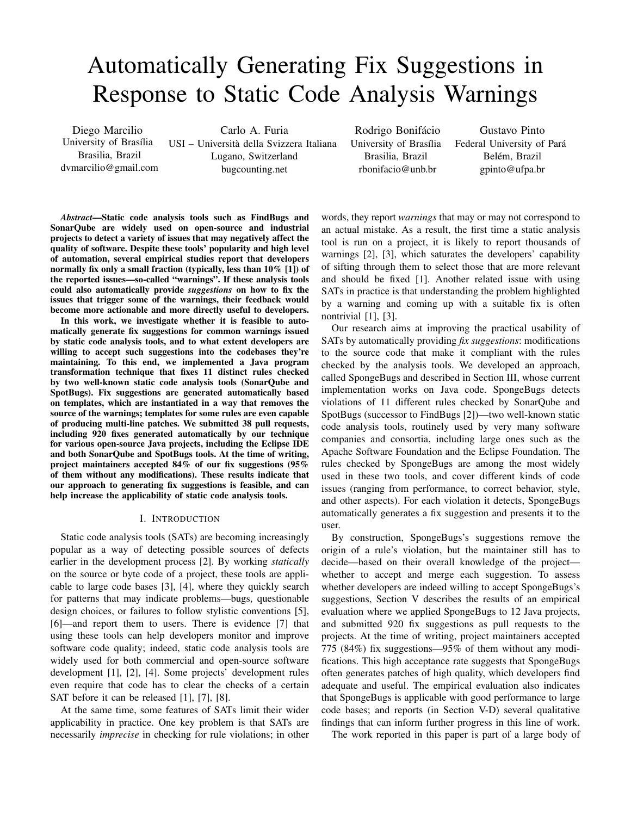# Automatically Generating Fix Suggestions in Response to Static Code Analysis Warnings

Diego Marcilio University of Brasília Brasilia, Brazil <dvmarcilio@gmail.com>

Carlo A. Furia USI – Università della Svizzera Italiana Lugano, Switzerland <bugcounting.net>

Rodrigo Bonifácio University of Brasília Brasilia, Brazil <rbonifacio@unb.br>

Gustavo Pinto Federal University of Pará Belém, Brazil <gpinto@ufpa.br>

*Abstract*—Static code analysis tools such as FindBugs and SonarQube are widely used on open-source and industrial projects to detect a variety of issues that may negatively affect the quality of software. Despite these tools' popularity and high level of automation, several empirical studies report that developers normally fix only a small fraction (typically, less than 10% [\[1\]](#page-10-0)) of the reported issues—so-called "warnings". If these analysis tools could also automatically provide *suggestions* on how to fix the issues that trigger some of the warnings, their feedback would become more actionable and more directly useful to developers.

In this work, we investigate whether it is feasible to automatically generate fix suggestions for common warnings issued by static code analysis tools, and to what extent developers are willing to accept such suggestions into the codebases they're maintaining. To this end, we implemented a Java program transformation technique that fixes 11 distinct rules checked by two well-known static code analysis tools (SonarQube and SpotBugs). Fix suggestions are generated automatically based on templates, which are instantiated in a way that removes the source of the warnings; templates for some rules are even capable of producing multi-line patches. We submitted 38 pull requests, including 920 fixes generated automatically by our technique for various open-source Java projects, including the Eclipse IDE and both SonarQube and SpotBugs tools. At the time of writing, project maintainers accepted 84% of our fix suggestions (95% of them without any modifications). These results indicate that our approach to generating fix suggestions is feasible, and can help increase the applicability of static code analysis tools.

#### I. INTRODUCTION

Static code analysis tools (SATs) are becoming increasingly popular as a way of detecting possible sources of defects earlier in the development process [\[2\]](#page-10-1). By working *statically* on the source or byte code of a project, these tools are applicable to large code bases [\[3\]](#page-10-2), [\[4\]](#page-10-3), where they quickly search for patterns that may indicate problems—bugs, questionable design choices, or failures to follow stylistic conventions [\[5\]](#page-10-4), [\[6\]](#page-10-5)—and report them to users. There is evidence [\[7\]](#page-10-6) that using these tools can help developers monitor and improve software code quality; indeed, static code analysis tools are widely used for both commercial and open-source software development [\[1\]](#page-10-0), [\[2\]](#page-10-1), [\[4\]](#page-10-3). Some projects' development rules even require that code has to clear the checks of a certain SAT before it can be released [\[1\]](#page-10-0), [\[7\]](#page-10-6), [\[8\]](#page-10-7).

At the same time, some features of SATs limit their wider applicability in practice. One key problem is that SATs are necessarily *imprecise* in checking for rule violations; in other words, they report *warnings* that may or may not correspond to an actual mistake. As a result, the first time a static analysis tool is run on a project, it is likely to report thousands of warnings [\[2\]](#page-10-1), [\[3\]](#page-10-2), which saturates the developers' capability of sifting through them to select those that are more relevant and should be fixed [\[1\]](#page-10-0). Another related issue with using SATs in practice is that understanding the problem highlighted by a warning and coming up with a suitable fix is often nontrivial [\[1\]](#page-10-0), [\[3\]](#page-10-2).

Our research aims at improving the practical usability of SATs by automatically providing *fix suggestions*: modifications to the source code that make it compliant with the rules checked by the analysis tools. We developed an approach, called SpongeBugs and described in [Section III,](#page-2-0) whose current implementation works on Java code. SpongeBugs detects violations of 11 different rules checked by SonarQube and SpotBugs (successor to FindBugs [\[2\]](#page-10-1))—two well-known static code analysis tools, routinely used by very many software companies and consortia, including large ones such as the Apache Software Foundation and the Eclipse Foundation. The rules checked by SpongeBugs are among the most widely used in these two tools, and cover different kinds of code issues (ranging from performance, to correct behavior, style, and other aspects). For each violation it detects, SpongeBugs automatically generates a fix suggestion and presents it to the user.

By construction, SpongeBugs's suggestions remove the origin of a rule's violation, but the maintainer still has to decide—based on their overall knowledge of the project whether to accept and merge each suggestion. To assess whether developers are indeed willing to accept SpongeBugs's suggestions, [Section V](#page-5-0) describes the results of an empirical evaluation where we applied SpongeBugs to 12 Java projects, and submitted 920 fix suggestions as pull requests to the projects. At the time of writing, project maintainers accepted 775 (84%) fix suggestions—95% of them without any modifications. This high acceptance rate suggests that SpongeBugs often generates patches of high quality, which developers find adequate and useful. The empirical evaluation also indicates that SpongeBugs is applicable with good performance to large code bases; and reports (in [Section V-D\)](#page-8-0) several qualitative findings that can inform further progress in this line of work.

The work reported in this paper is part of a large body of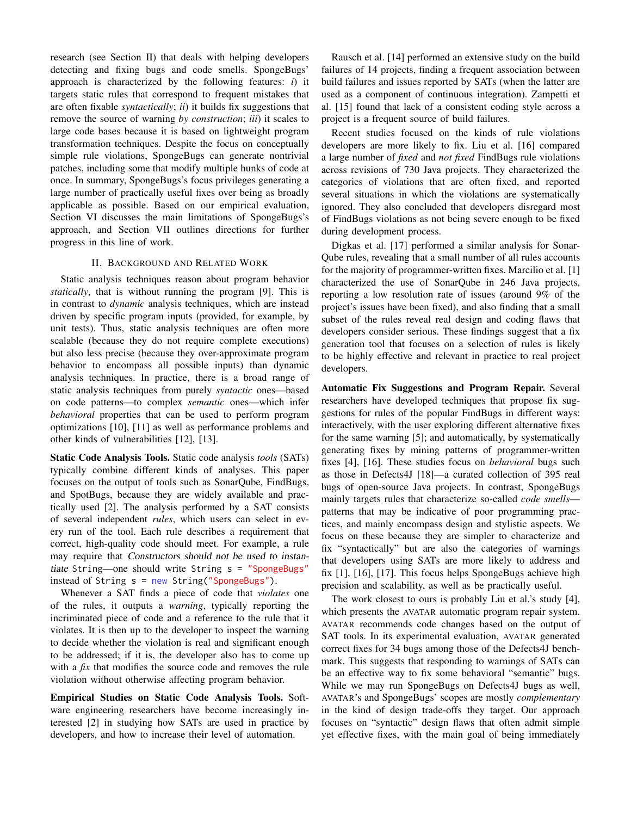research (see [Section II\)](#page-1-0) that deals with helping developers detecting and fixing bugs and code smells. SpongeBugs' approach is characterized by the following features: *i*) it targets static rules that correspond to frequent mistakes that are often fixable *syntactically*; *ii*) it builds fix suggestions that remove the source of warning *by construction*; *iii*) it scales to large code bases because it is based on lightweight program transformation techniques. Despite the focus on conceptually simple rule violations, SpongeBugs can generate nontrivial patches, including some that modify multiple hunks of code at once. In summary, SpongeBugs's focus privileges generating a large number of practically useful fixes over being as broadly applicable as possible. Based on our empirical evaluation, [Section VI](#page-9-0) discusses the main limitations of SpongeBugs's approach, and [Section VII](#page-9-1) outlines directions for further progress in this line of work.

## II. BACKGROUND AND RELATED WORK

<span id="page-1-0"></span>Static analysis techniques reason about program behavior *statically*, that is without running the program [\[9\]](#page-10-8). This is in contrast to *dynamic* analysis techniques, which are instead driven by specific program inputs (provided, for example, by unit tests). Thus, static analysis techniques are often more scalable (because they do not require complete executions) but also less precise (because they over-approximate program behavior to encompass all possible inputs) than dynamic analysis techniques. In practice, there is a broad range of static analysis techniques from purely *syntactic* ones—based on code patterns—to complex *semantic* ones—which infer *behavioral* properties that can be used to perform program optimizations [\[10\]](#page-10-9), [\[11\]](#page-10-10) as well as performance problems and other kinds of vulnerabilities [\[12\]](#page-10-11), [\[13\]](#page-10-12).

Static Code Analysis Tools. Static code analysis *tools* (SATs) typically combine different kinds of analyses. This paper focuses on the output of tools such as SonarQube, FindBugs, and SpotBugs, because they are widely available and practically used [\[2\]](#page-10-1). The analysis performed by a SAT consists of several independent *rules*, which users can select in every run of the tool. Each rule describes a requirement that correct, high-quality code should meet. For example, a rule may require that Constructors should not be used to instantiate String—one should write String s = "SpongeBugs" instead of String s = new String("SpongeBugs").

Whenever a SAT finds a piece of code that *violates* one of the rules, it outputs a *warning*, typically reporting the incriminated piece of code and a reference to the rule that it violates. It is then up to the developer to inspect the warning to decide whether the violation is real and significant enough to be addressed; if it is, the developer also has to come up with a *fix* that modifies the source code and removes the rule violation without otherwise affecting program behavior.

Empirical Studies on Static Code Analysis Tools. Software engineering researchers have become increasingly interested [\[2\]](#page-10-1) in studying how SATs are used in practice by developers, and how to increase their level of automation.

Rausch et al. [\[14\]](#page-10-13) performed an extensive study on the build failures of 14 projects, finding a frequent association between build failures and issues reported by SATs (when the latter are used as a component of continuous integration). Zampetti et al. [\[15\]](#page-10-14) found that lack of a consistent coding style across a project is a frequent source of build failures.

Recent studies focused on the kinds of rule violations developers are more likely to fix. Liu et al. [\[16\]](#page-10-15) compared a large number of *fixed* and *not fixed* FindBugs rule violations across revisions of 730 Java projects. They characterized the categories of violations that are often fixed, and reported several situations in which the violations are systematically ignored. They also concluded that developers disregard most of FindBugs violations as not being severe enough to be fixed during development process.

Digkas et al. [\[17\]](#page-10-16) performed a similar analysis for Sonar-Qube rules, revealing that a small number of all rules accounts for the majority of programmer-written fixes. Marcilio et al. [\[1\]](#page-10-0) characterized the use of SonarQube in 246 Java projects, reporting a low resolution rate of issues (around 9% of the project's issues have been fixed), and also finding that a small subset of the rules reveal real design and coding flaws that developers consider serious. These findings suggest that a fix generation tool that focuses on a selection of rules is likely to be highly effective and relevant in practice to real project developers.

Automatic Fix Suggestions and Program Repair. Several researchers have developed techniques that propose fix suggestions for rules of the popular FindBugs in different ways: interactively, with the user exploring different alternative fixes for the same warning [\[5\]](#page-10-4); and automatically, by systematically generating fixes by mining patterns of programmer-written fixes [\[4\]](#page-10-3), [\[16\]](#page-10-15). These studies focus on *behavioral* bugs such as those in Defects4J [\[18\]](#page-10-17)—a curated collection of 395 real bugs of open-source Java projects. In contrast, SpongeBugs mainly targets rules that characterize so-called *code smells* patterns that may be indicative of poor programming practices, and mainly encompass design and stylistic aspects. We focus on these because they are simpler to characterize and fix "syntactically" but are also the categories of warnings that developers using SATs are more likely to address and fix [\[1\]](#page-10-0), [\[16\]](#page-10-15), [\[17\]](#page-10-16). This focus helps SpongeBugs achieve high precision and scalability, as well as be practically useful.

The work closest to ours is probably Liu et al.'s study [\[4\]](#page-10-3), which presents the AVATAR automatic program repair system. AVATAR recommends code changes based on the output of SAT tools. In its experimental evaluation, AVATAR generated correct fixes for 34 bugs among those of the Defects4J benchmark. This suggests that responding to warnings of SATs can be an effective way to fix some behavioral "semantic" bugs. While we may run SpongeBugs on Defects4J bugs as well, AVATAR's and SpongeBugs' scopes are mostly *complementary* in the kind of design trade-offs they target. Our approach focuses on "syntactic" design flaws that often admit simple yet effective fixes, with the main goal of being immediately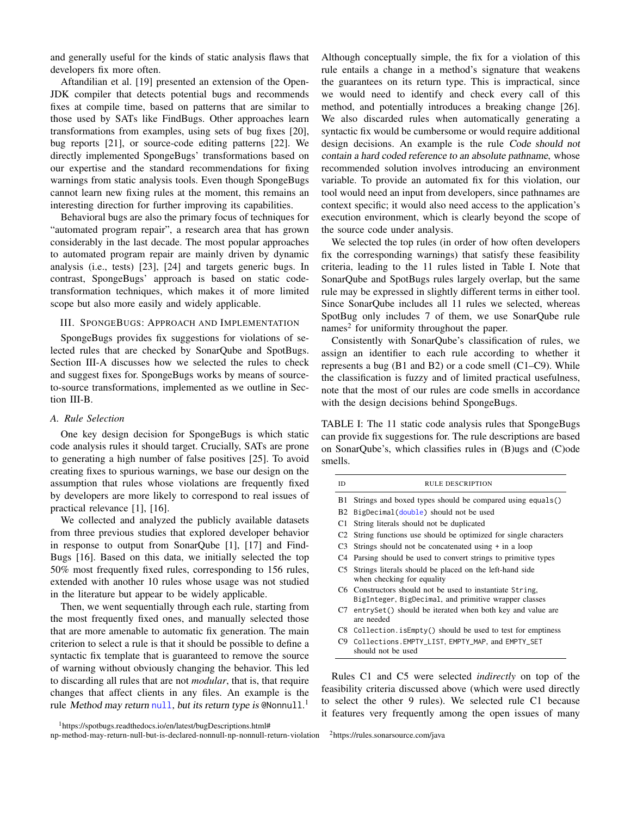and generally useful for the kinds of static analysis flaws that developers fix more often.

Aftandilian et al. [\[19\]](#page-10-18) presented an extension of the Open-JDK compiler that detects potential bugs and recommends fixes at compile time, based on patterns that are similar to those used by SATs like FindBugs. Other approaches learn transformations from examples, using sets of bug fixes [\[20\]](#page-10-19), bug reports [\[21\]](#page-10-20), or source-code editing patterns [\[22\]](#page-10-21). We directly implemented SpongeBugs' transformations based on our expertise and the standard recommendations for fixing warnings from static analysis tools. Even though SpongeBugs cannot learn new fixing rules at the moment, this remains an interesting direction for further improving its capabilities.

Behavioral bugs are also the primary focus of techniques for "automated program repair", a research area that has grown considerably in the last decade. The most popular approaches to automated program repair are mainly driven by dynamic analysis (i.e., tests) [\[23\]](#page-10-22), [\[24\]](#page-10-23) and targets generic bugs. In contrast, SpongeBugs' approach is based on static codetransformation techniques, which makes it of more limited scope but also more easily and widely applicable.

## <span id="page-2-0"></span>III. SPONGEBUGS: APPROACH AND IMPLEMENTATION

SpongeBugs provides fix suggestions for violations of selected rules that are checked by SonarQube and SpotBugs. [Section III-A](#page-2-1) discusses how we selected the rules to check and suggest fixes for. SpongeBugs works by means of sourceto-source transformations, implemented as we outline in [Sec](#page-3-0)[tion III-B.](#page-3-0)

## <span id="page-2-1"></span>*A. Rule Selection*

One key design decision for SpongeBugs is which static code analysis rules it should target. Crucially, SATs are prone to generating a high number of false positives [\[25\]](#page-10-24). To avoid creating fixes to spurious warnings, we base our design on the assumption that rules whose violations are frequently fixed by developers are more likely to correspond to real issues of practical relevance [\[1\]](#page-10-0), [\[16\]](#page-10-15).

We collected and analyzed the publicly available datasets from three previous studies that explored developer behavior in response to output from SonarQube [\[1\]](#page-10-0), [\[17\]](#page-10-16) and Find-Bugs [\[16\]](#page-10-15). Based on this data, we initially selected the top 50% most frequently fixed rules, corresponding to 156 rules, extended with another 10 rules whose usage was not studied in the literature but appear to be widely applicable.

Then, we went sequentially through each rule, starting from the most frequently fixed ones, and manually selected those that are more amenable to automatic fix generation. The main criterion to select a rule is that it should be possible to define a syntactic fix template that is guaranteed to remove the source of warning without obviously changing the behavior. This led to discarding all rules that are not *modular*, that is, that require changes that affect clients in any files. An example is the rule Method may return null, but its return type is @Nonnull.<sup>[1](#page-2-2)</sup>

Although conceptually simple, the fix for a violation of this rule entails a change in a method's signature that weakens the guarantees on its return type. This is impractical, since we would need to identify and check every call of this method, and potentially introduces a breaking change [\[26\]](#page-10-25). We also discarded rules when automatically generating a syntactic fix would be cumbersome or would require additional design decisions. An example is the rule Code should not contain a hard coded reference to an absolute pathname, whose recommended solution involves introducing an environment variable. To provide an automated fix for this violation, our tool would need an input from developers, since pathnames are context specific; it would also need access to the application's execution environment, which is clearly beyond the scope of the source code under analysis.

We selected the top rules (in order of how often developers fix the corresponding warnings) that satisfy these feasibility criteria, leading to the 11 rules listed in [Table I.](#page-2-3) Note that SonarQube and SpotBugs rules largely overlap, but the same rule may be expressed in slightly different terms in either tool. Since SonarQube includes all 11 rules we selected, whereas SpotBug only includes 7 of them, we use SonarQube rule names<sup>[2](#page-2-4)</sup> for uniformity throughout the paper.

Consistently with SonarQube's classification of rules, we assign an identifier to each rule according to whether it represents a bug (B1 and B2) or a code smell (C1–C9). While the classification is fuzzy and of limited practical usefulness, note that the most of our rules are code smells in accordance with the design decisions behind SpongeBugs.

<span id="page-2-3"></span>TABLE I: The 11 static code analysis rules that SpongeBugs can provide fix suggestions for. The rule descriptions are based on SonarQube's, which classifies rules in (B)ugs and (C)ode smells.

| ID             | RULE DESCRIPTION                                                                                                   |
|----------------|--------------------------------------------------------------------------------------------------------------------|
| B1             | Strings and boxed types should be compared using equals()                                                          |
| B2             | BigDecimal(double) should not be used                                                                              |
| C1             | String literals should not be duplicated                                                                           |
| C2             | String functions use should be optimized for single characters                                                     |
| C <sub>3</sub> | Strings should not be concatenated using + in a loop                                                               |
| C4             | Parsing should be used to convert strings to primitive types                                                       |
| C5             | Strings literals should be placed on the left-hand side<br>when checking for equality                              |
|                | C6 Constructors should not be used to instantiate String,<br>BigInteger, BigDecimal, and primitive wrapper classes |
| C7             | entrySet() should be iterated when both key and value are<br>are needed                                            |
| C8.            | Collection. is Empty() should be used to test for emptiness                                                        |
| C9             | Collections.EMPTY_LIST, EMPTY_MAP, and EMPTY_SET<br>should not be used                                             |

Rules C1 and C5 were selected *indirectly* on top of the feasibility criteria discussed above (which were used directly to select the other 9 rules). We selected rule C1 because it features very frequently among the open issues of many

[np-method-may-return-null-but-is-declared-nonnull-np-nonnull-return-violation](https://spotbugs.readthedocs.io/en/latest/bugDescriptions.html#np-method-may-return-null-but-is-declared-nonnull-np-nonnull-return-violation) <sup>2</sup><https://rules.sonarsource.com/java>

<span id="page-2-4"></span>

<span id="page-2-2"></span><sup>1</sup>[https://spotbugs.readthedocs.io/en/latest/bugDescriptions.html#](https://spotbugs.readthedocs.io/en/latest/bugDescriptions.html#np-method-may-return-null-but-is-declared-nonnull-np-nonnull-return-violation)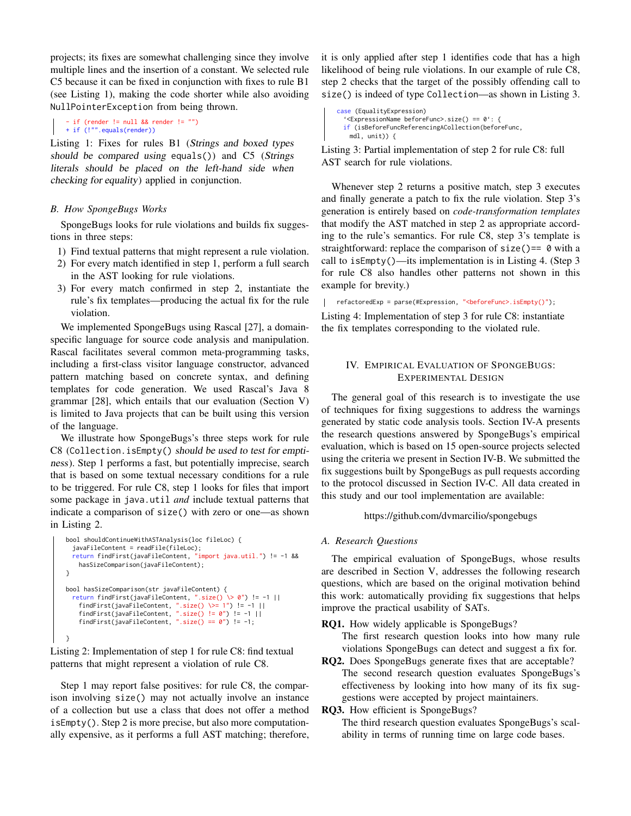projects; its fixes are somewhat challenging since they involve multiple lines and the insertion of a constant. We selected rule C5 because it can be fixed in conjunction with fixes to rule B1 (see Listing [1\)](#page-3-1), making the code shorter while also avoiding NullPointerException from being thrown.

```
- if (render != null && render != "")
+ if (!"".equals(render))
```
Listing 1: Fixes for rules B1 (Strings and boxed types should be compared using equals()) and C5 (Strings literals should be placed on the left-hand side when checking for equality) applied in conjunction.

## <span id="page-3-0"></span>*B. How SpongeBugs Works*

SpongeBugs looks for rule violations and builds fix suggestions in three steps:

- 1) Find textual patterns that might represent a rule violation.
- 2) For every match identified in step 1, perform a full search in the AST looking for rule violations.
- 3) For every match confirmed in step 2, instantiate the rule's fix templates—producing the actual fix for the rule violation.

We implemented SpongeBugs using Rascal [\[27\]](#page-10-26), a domainspecific language for source code analysis and manipulation. Rascal facilitates several common meta-programming tasks, including a first-class visitor language constructor, advanced pattern matching based on concrete syntax, and defining templates for code generation. We used Rascal's Java 8 grammar [\[28\]](#page-10-27), which entails that our evaluation [\(Section V\)](#page-5-0) is limited to Java projects that can be built using this version of the language.

We illustrate how SpongeBugs's three steps work for rule C8 (Collection.isEmpty() should be used to test for emptiness). Step 1 performs a fast, but potentially imprecise, search that is based on some textual necessary conditions for a rule to be triggered. For rule C8, step 1 looks for files that import some package in java.util *and* include textual patterns that indicate a comparison of size() with zero or one—as shown in Listing [2.](#page-3-2)

```
bool shouldContinueWithASTAnalysis(loc fileLoc) {
  javaFileContent = readFile(fileLoc);
  return findFirst(javaFileContent, "import java.util.") != -1 &&
    hasSizeComparison(javaFileContent);
}
bool hasSizeComparison(str javaFileContent) {
  return findFirst(javaFileContent, ".size() \> 0") != -1 ||
     findFirst(javaFileContent, ".size() \>= 1") != -1 ||
findFirst(javaFileContent, ".size() != 0") != -1 ||
findFirst(javaFileContent, ".size() == 0") != -1;
}
```
Listing 2: Implementation of step 1 for rule C8: find textual patterns that might represent a violation of rule C8.

Step 1 may report false positives: for rule C8, the comparison involving size() may not actually involve an instance of a collection but use a class that does not offer a method isEmpty(). Step 2 is more precise, but also more computationally expensive, as it performs a full AST matching; therefore, it is only applied after step 1 identifies code that has a high likelihood of being rule violations. In our example of rule C8, step 2 checks that the target of the possibly offending call to size() is indeed of type Collection—as shown in Listing [3.](#page-3-3)

```
case (EqualityExpression)
  '<ExpressionName beforeFunc>.size() == 0': {
 if (isBeforeFuncReferencingACollection(beforeFunc,
   mdl, unit)) {
```
Listing 3: Partial implementation of step 2 for rule C8: full AST search for rule violations.

Whenever step 2 returns a positive match, step 3 executes and finally generate a patch to fix the rule violation. Step 3's generation is entirely based on *code-transformation templates* that modify the AST matched in step 2 as appropriate according to the rule's semantics. For rule C8, step 3's template is straightforward: replace the comparison of size()== 0 with a call to isEmpty()—its implementation is in Listing [4.](#page-3-4) (Step 3 for rule C8 also handles other patterns not shown in this example for brevity.)

<span id="page-3-4"></span>| refactoredExp = parse(#Expression, "<br/>beforeFunc>.isEmpty()");

Listing 4: Implementation of step 3 for rule C8: instantiate the fix templates corresponding to the violated rule.

## IV. EMPIRICAL EVALUATION OF SPONGEBUGS: EXPERIMENTAL DESIGN

The general goal of this research is to investigate the use of techniques for fixing suggestions to address the warnings generated by static code analysis tools. [Section IV-A](#page-3-5) presents the research questions answered by SpongeBugs's empirical evaluation, which is based on 15 open-source projects selected using the criteria we present in [Section IV-B.](#page-4-0) We submitted the fix suggestions built by SpongeBugs as pull requests according to the protocol discussed in [Section IV-C.](#page-4-1) All data created in this study and our tool implementation are available:

### <https://github.com/dvmarcilio/spongebugs>

### <span id="page-3-5"></span>*A. Research Questions*

The empirical evaluation of SpongeBugs, whose results are described in [Section V,](#page-5-0) addresses the following research questions, which are based on the original motivation behind this work: automatically providing fix suggestions that helps improve the practical usability of SATs.

RQ1. How widely applicable is SpongeBugs?

The first research question looks into how many rule violations SpongeBugs can detect and suggest a fix for.

RQ2. Does SpongeBugs generate fixes that are acceptable? The second research question evaluates SpongeBugs's effectiveness by looking into how many of its fix suggestions were accepted by project maintainers.

RQ3. How efficient is SpongeBugs?

The third research question evaluates SpongeBugs's scalability in terms of running time on large code bases.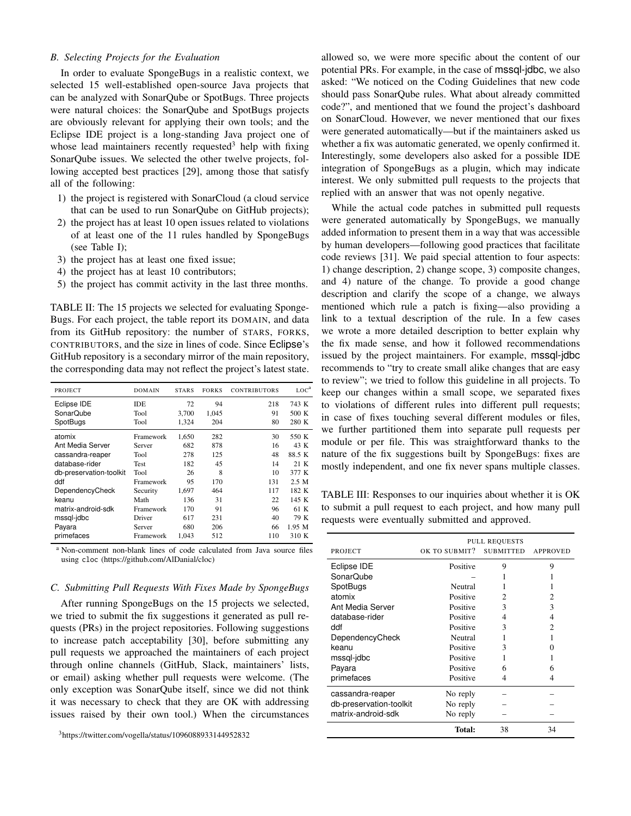## <span id="page-4-0"></span>*B. Selecting Projects for the Evaluation*

In order to evaluate SpongeBugs in a realistic context, we selected 15 well-established open-source Java projects that can be analyzed with SonarQube or SpotBugs. Three projects were natural choices: the SonarQube and SpotBugs projects are obviously relevant for applying their own tools; and the Eclipse IDE project is a long-standing Java project one of whose lead maintainers recently requested<sup>[3](#page-4-2)</sup> help with fixing SonarQube issues. We selected the other twelve projects, following accepted best practices [\[29\]](#page-10-28), among those that satisfy all of the following:

- 1) the project is registered with SonarCloud (a cloud service that can be used to run SonarQube on GitHub projects);
- 2) the project has at least 10 open issues related to violations of at least one of the 11 rules handled by SpongeBugs (see [Table I\)](#page-2-3);
- 3) the project has at least one fixed issue;
- 4) the project has at least 10 contributors;
- 5) the project has commit activity in the last three months.

TABLE II: The 15 projects we selected for evaluating Sponge-Bugs. For each project, the table report its DOMAIN, and data from its GitHub repository: the number of STARS, FORKS, CONTRIBUTORS, and the size in lines of code. Since Eclipse's GitHub repository is a secondary mirror of the main repository, the corresponding data may not reflect the project's latest state.

| PROJECT                 | <b>DOMAIN</b> | <b>STARS</b> | <b>FORKS</b> | <b>CONTRIBUTORS</b> | LOC <sup>a</sup> |
|-------------------------|---------------|--------------|--------------|---------------------|------------------|
| Eclipse IDE             | <b>IDE</b>    | 72           | 94           | 218                 | 743 K            |
| SonarQube               | Tool          | 3,700        | 1,045        | 91                  | 500 K            |
| <b>SpotBugs</b>         | Tool          | 1,324        | 204          | 80                  | 280 K            |
| atomix                  | Framework     | 1.650        | 282          | 30                  | 550 K            |
| Ant Media Server        | Server        | 682          | 878          | 16                  | 43 K             |
| cassandra-reaper        | Tool          | 278          | 125          | 48                  | 88.5 K           |
| database-rider          | <b>Test</b>   | 182          | 45           | 14                  | 21 K             |
| db-preservation-toolkit | Tool          | 26           | 8            | 10                  | 377 K            |
| ddf                     | Framework     | 95           | 170          | 131                 | 2.5 M            |
| <b>DependencyCheck</b>  | Security      | 1,697        | 464          | 117                 | 182 K            |
| keanu                   | Math          | 136          | 31           | 22                  | 145 K            |
| matrix-android-sdk      | Framework     | 170          | 91           | 96                  | 61 K             |
| mssql-jdbc              | Driver        | 617          | 231          | 40                  | 79 K             |
| Payara                  | Server        | 680          | 206          | 66                  | 1.95 M           |
| primefaces              | Framework     | 1.043        | 512          | 110                 | 310 K            |

<sup>a</sup> Non-comment non-blank lines of code calculated from Java source files using cloc [\(https://github.com/AlDanial/cloc\)](https://github.com/AlDanial/cloc)

## <span id="page-4-1"></span>*C. Submitting Pull Requests With Fixes Made by SpongeBugs*

After running SpongeBugs on the 15 projects we selected, we tried to submit the fix suggestions it generated as pull requests (PRs) in the project repositories. Following suggestions to increase patch acceptability [\[30\]](#page-10-29), before submitting any pull requests we approached the maintainers of each project through online channels (GitHub, Slack, maintainers' lists, or email) asking whether pull requests were welcome. (The only exception was SonarQube itself, since we did not think it was necessary to check that they are OK with addressing issues raised by their own tool.) When the circumstances

<span id="page-4-2"></span><sup>3</sup><https://twitter.com/vogella/status/1096088933144952832>

allowed so, we were more specific about the content of our potential PRs. For example, in the case of mssql-jdbc, we also asked: "We noticed on the Coding Guidelines that new code should pass SonarQube rules. What about already committed code?", and mentioned that we found the project's dashboard on SonarCloud. However, we never mentioned that our fixes were generated automatically—but if the maintainers asked us whether a fix was automatic generated, we openly confirmed it. Interestingly, some developers also asked for a possible IDE integration of SpongeBugs as a plugin, which may indicate interest. We only submitted pull requests to the projects that replied with an answer that was not openly negative.

While the actual code patches in submitted pull requests were generated automatically by SpongeBugs, we manually added information to present them in a way that was accessible by human developers—following good practices that facilitate code reviews [\[31\]](#page-10-30). We paid special attention to four aspects: 1) change description, 2) change scope, 3) composite changes, and 4) nature of the change. To provide a good change description and clarify the scope of a change, we always mentioned which rule a patch is fixing—also providing a link to a textual description of the rule. In a few cases we wrote a more detailed description to better explain why the fix made sense, and how it followed recommendations issued by the project maintainers. For example, mssql-jdbc recommends to "try to create small alike changes that are easy to review"; we tried to follow this guideline in all projects. To keep our changes within a small scope, we separated fixes to violations of different rules into different pull requests; in case of fixes touching several different modules or files, we further partitioned them into separate pull requests per module or per file. This was straightforward thanks to the nature of the fix suggestions built by SpongeBugs: fixes are mostly independent, and one fix never spans multiple classes.

<span id="page-4-3"></span>TABLE III: Responses to our inquiries about whether it is OK to submit a pull request to each project, and how many pull requests were eventually submitted and approved.

|                         | <b>PULL REQUESTS</b> |           |                 |  |  |
|-------------------------|----------------------|-----------|-----------------|--|--|
| PROJECT                 | OK TO SUBMIT?        | SUBMITTED | <b>APPROVED</b> |  |  |
| Eclipse IDE             | Positive             | 9         | 9               |  |  |
| SonarQube               |                      |           |                 |  |  |
| <b>SpotBugs</b>         | Neutral              |           |                 |  |  |
| atomix                  | Positive             | 2         |                 |  |  |
| Ant Media Server        | Positive             | 3         | 3               |  |  |
| database-rider          | Positive             | 4         | 4               |  |  |
| ddf                     | Positive             | 3         | 2               |  |  |
| <b>DependencyCheck</b>  | Neutral              |           |                 |  |  |
| keanu                   | Positive             | 3         | 0               |  |  |
| mssql-jdbc              | Positive             |           |                 |  |  |
| Payara                  | Positive             | 6         | 6               |  |  |
| primefaces              | Positive             | 4         | 4               |  |  |
| cassandra-reaper        | No reply             |           |                 |  |  |
| db-preservation-toolkit | No reply             |           |                 |  |  |
| matrix-android-sdk      | No reply             |           |                 |  |  |
|                         | Total:               | 38        | 34              |  |  |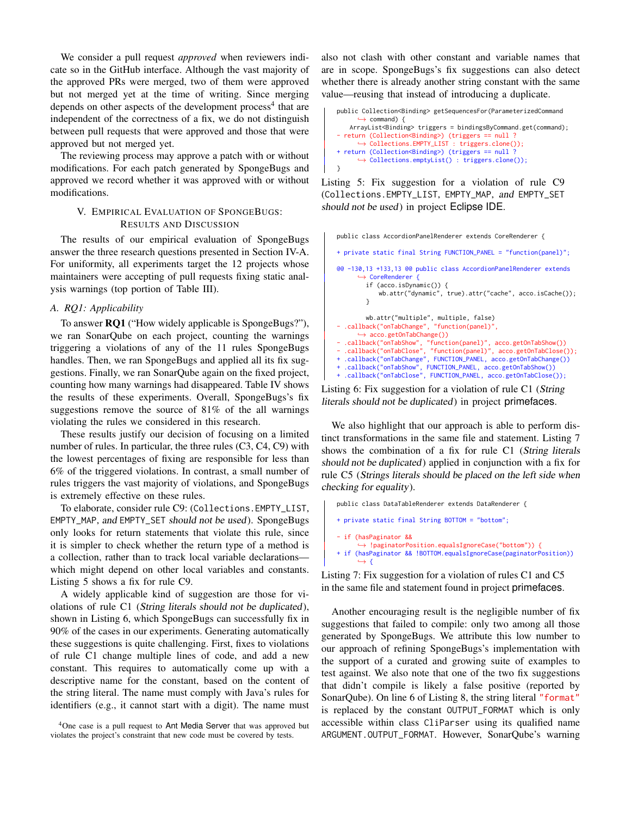We consider a pull request *approved* when reviewers indicate so in the GitHub interface. Although the vast majority of the approved PRs were merged, two of them were approved but not merged yet at the time of writing. Since merging depends on other aspects of the development process<sup>[4](#page-5-1)</sup> that are independent of the correctness of a fix, we do not distinguish between pull requests that were approved and those that were approved but not merged yet.

The reviewing process may approve a patch with or without modifications. For each patch generated by SpongeBugs and approved we record whether it was approved with or without modifications.

## <span id="page-5-0"></span>V. EMPIRICAL EVALUATION OF SPONGEBUGS: RESULTS AND DISCUSSION

The results of our empirical evaluation of SpongeBugs answer the three research questions presented in [Section IV-A.](#page-3-5) For uniformity, all experiments target the 12 projects whose maintainers were accepting of pull requests fixing static analysis warnings (top portion of [Table III\)](#page-4-3).

### *A. RQ1: Applicability*

To answer RQ1 ("How widely applicable is SpongeBugs?"), we ran SonarQube on each project, counting the warnings triggering a violations of any of the 11 rules SpongeBugs handles. Then, we ran SpongeBugs and applied all its fix suggestions. Finally, we ran SonarQube again on the fixed project, counting how many warnings had disappeared. Table [IV](#page-6-0) shows the results of these experiments. Overall, SpongeBugs's fix suggestions remove the source of 81% of the all warnings violating the rules we considered in this research.

These results justify our decision of focusing on a limited number of rules. In particular, the three rules (C3, C4, C9) with the lowest percentages of fixing are responsible for less than 6% of the triggered violations. In contrast, a small number of rules triggers the vast majority of violations, and SpongeBugs is extremely effective on these rules.

To elaborate, consider rule C9: (Collections.EMPTY\_LIST, EMPTY\_MAP, and EMPTY\_SET should not be used). SpongeBugs only looks for return statements that violate this rule, since it is simpler to check whether the return type of a method is a collection, rather than to track local variable declarations which might depend on other local variables and constants. Listing [5](#page-5-2) shows a fix for rule C9.

A widely applicable kind of suggestion are those for violations of rule C1 (String literals should not be duplicated), shown in Listing [6,](#page-5-3) which SpongeBugs can successfully fix in 90% of the cases in our experiments. Generating automatically these suggestions is quite challenging. First, fixes to violations of rule C1 change multiple lines of code, and add a new constant. This requires to automatically come up with a descriptive name for the constant, based on the content of the string literal. The name must comply with Java's rules for identifiers (e.g., it cannot start with a digit). The name must

<span id="page-5-1"></span> $4$ One case is a pull request to Ant Media Server that was approved but violates the project's constraint that new code must be covered by tests.

also not clash with other constant and variable names that are in scope. SpongeBugs's fix suggestions can also detect whether there is already another string constant with the same value—reusing that instead of introducing a duplicate.

```
public Collection<Binding> getSequencesFor(ParameterizedCommand
       \rightarrow command) {
   ArrayList<Binding> triggers = bindingsByCommand.get(command);
 return (Collection<Binding>) (triggers == null ?
      ֒→ Collections.EMPTY_LIST : triggers.clone());
+ return (Collection<Binding>) (triggers == null ?
       ֒→ Collections.emptyList() : triggers.clone());
}
```
Listing 5: Fix suggestion for a violation of rule C9 (Collections.EMPTY\_LIST, EMPTY\_MAP, and EMPTY\_SET should not be used) in project Eclipse IDE.

<span id="page-5-3"></span>public class AccordionPanelRenderer extends CoreRenderer {

```
+ private static final String FUNCTION_PANEL = "function(panel)";
@@ -130,13 +133,13 @@ public class AccordionPanelRenderer extends
          ֒→ CoreRenderer {
            if (acco.isDynamic()) {
                  wb.attr("dynamic", true).attr("cache", acco.isCache());
             }
wb.attr("multiple", multiple, false)
- .callback("onTabChange", "function(panel)",
   .callback("onTabChange", "funo<br>
→ acco.getOnTabChange())
- .callback("onTabShow", "function(panel)", acco.getOnTabShow())
- .callback("onTabClose", "function(panel)", acco.getOnTabClose());
+ .callback("onTabChange", FUNCTION_PANEL, acco.getOnTabChange())
+ .callback("onTabShow", FUNCTION_PANEL, acco.getOnTabShow())
+ .callback("onTabClose", FUNCTION_PANEL, acco.getOnTabClose());
```
Listing 6: Fix suggestion for a violation of rule C1 (String literals should not be duplicated) in project primefaces.

We also highlight that our approach is able to perform distinct transformations in the same file and statement. Listing [7](#page-5-4) shows the combination of a fix for rule C1 (String literals should not be duplicated) applied in conjunction with a fix for rule C5 (Strings literals should be placed on the left side when checking for equality).

```
public class DataTableRenderer extends DataRenderer {
+ private static final String BOTTOM = "bottom";
- if (hasPaginator &&
      ֒→ !paginatorPosition.equalsIgnoreCase("bottom")) {
+ if (hasPaginator && !BOTTOM.equalsIgnoreCase(paginatorPosition))
      ֒→ {
```
Listing 7: Fix suggestion for a violation of rules C1 and C5 in the same file and statement found in project primefaces.

Another encouraging result is the negligible number of fix suggestions that failed to compile: only two among all those generated by SpongeBugs. We attribute this low number to our approach of refining SpongeBugs's implementation with the support of a curated and growing suite of examples to test against. We also note that one of the two fix suggestions that didn't compile is likely a false positive (reported by SonarQube). On line 6 of Listing [8,](#page-6-1) the string literal "format" is replaced by the constant OUTPUT\_FORMAT which is only accessible within class CliParser using its qualified name ARGUMENT.OUTPUT\_FORMAT. However, SonarQube's warning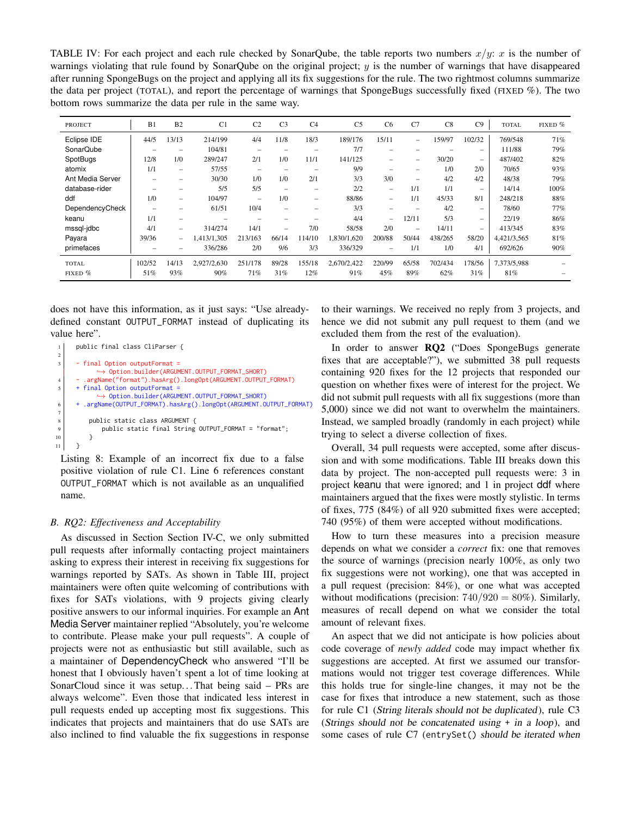<span id="page-6-0"></span>TABLE IV: For each project and each rule checked by SonarQube, the table reports two numbers  $x/y$ : x is the number of warnings violating that rule found by SonarQube on the original project; y is the number of warnings that have disappeared after running SpongeBugs on the project and applying all its fix suggestions for the rule. The two rightmost columns summarize the data per project (TOTAL), and report the percentage of warnings that SpongeBugs successfully fixed (FIXED %). The two bottom rows summarize the data per rule in the same way.

| PROJECT                | B1     | B2                       | C <sub>1</sub> | C <sub>2</sub>           | C <sub>3</sub>           | C <sub>4</sub>           | C <sub>5</sub> | C <sub>6</sub>           | C7                       | C8      | C9                       | <b>TOTAL</b> | FIXED % |
|------------------------|--------|--------------------------|----------------|--------------------------|--------------------------|--------------------------|----------------|--------------------------|--------------------------|---------|--------------------------|--------------|---------|
| Eclipse IDE            | 44/5   | 13/13                    | 214/199        | 4/4                      | 11/8                     | 18/3                     | 189/176        | 15/11                    | $\qquad \qquad$          | 159/97  | 102/32                   | 769/548      | 71%     |
| SonarQube              | -      |                          | 104/81         | $\overline{\phantom{0}}$ | -                        | -                        | 7/7            | $\overline{\phantom{0}}$ | -                        |         | $\overline{\phantom{a}}$ | 111/88       | 79%     |
| <b>SpotBugs</b>        | 12/8   | 1/0                      | 289/247        | 2/1                      | 1/0                      | 11/1                     | 141/125        | -                        | $\overline{\phantom{0}}$ | 30/20   | $\qquad \qquad$          | 487/402      | 82%     |
| atomix                 | 1/1    | $\overline{\phantom{0}}$ | 57/55          | $\overline{\phantom{0}}$ | -                        | -                        | 9/9            | -                        | -                        | 1/0     | 2/0                      | 70/65        | 93%     |
| Ant Media Server       | -      |                          | 30/30          | 1/0                      | 1/0                      | 2/1                      | 3/3            | 3/0                      | $\overline{\phantom{0}}$ | 4/2     | 4/2                      | 48/38        | 79%     |
| database-rider         | -      | -                        | 5/5            | 5/5                      | $\overline{\phantom{0}}$ | $\overline{\phantom{0}}$ | 2/2            | $\overline{\phantom{0}}$ | 1/1                      | 1/1     | $\overline{\phantom{a}}$ | 14/14        | 100%    |
| ddf                    | 1/0    | -                        | 104/97         | $\overline{\phantom{0}}$ | 1/0                      | -                        | 88/86          | -                        | 1/1                      | 45/33   | 8/1                      | 248/218      | 88%     |
| <b>DependencyCheck</b> | -      |                          | 61/51          | 10/4                     | $\overline{\phantom{0}}$ | $\overline{\phantom{0}}$ | 3/3            | $\overline{\phantom{0}}$ | $\overline{\phantom{0}}$ | 4/2     | $\overline{\phantom{a}}$ | 78/60        | 77%     |
| keanu                  | 1/1    | $\overline{\phantom{0}}$ | -              | -                        | $\overline{\phantom{a}}$ |                          | 4/4            | $\qquad \qquad$          | 12/11                    | 5/3     | $\overline{\phantom{0}}$ | 22/19        | 86%     |
| mssql-jdbc             | 4/1    | $\overline{\phantom{m}}$ | 314/274        | 14/1                     | $\overline{\phantom{0}}$ | 7/0                      | 58/58          | 2/0                      | $\overline{\phantom{0}}$ | 14/11   | $\overline{\phantom{0}}$ | 413/345      | 83%     |
| Payara                 | 39/36  | $\qquad \qquad -$        | 1.413/1.305    | 213/163                  | 66/14                    | 114/10                   | 1.830/1.620    | 200/88                   | 50/44                    | 438/265 | 58/20                    | 4,421/3,565  | 81%     |
| primefaces             | -      |                          | 336/286        | 2/0                      | 9/6                      | 3/3                      | 336/329        | $\overline{\phantom{0}}$ | 1/1                      | 1/0     | 4/1                      | 692/626      | 90%     |
| <b>TOTAL</b>           | 102/52 | 14/13                    | 2,927/2,630    | 251/178                  | 89/28                    | 155/18                   | 2,670/2,422    | 220/99                   | 65/58                    | 702/434 | 178/56                   | 7,373/5,988  |         |
| FIXED $%$              | 51%    | 93%                      | 90%            | 71%                      | 31%                      | 12%                      | 91%            | 45%                      | 89%                      | 62%     | 31%                      | 81%          |         |

does not have this information, as it just says: "Use alreadydefined constant OUTPUT\_FORMAT instead of duplicating its value here".

```
public final class CliParser {
 2
3 - final Option outputFormat =
            ֒→ Option.builder(ARGUMENT.OUTPUT_FORMAT_SHORT)
         .argName("format").hasArg().longOpt(ARGUMENT.OUTPUT_FORMAT)
      + final Option outputFormat =
           ֒→ Option.builder(ARGUMENT.OUTPUT_FORMAT_SHORT)
      6 + .argName(OUTPUT_FORMAT).hasArg().longOpt(ARGUMENT.OUTPUT_FORMAT)
7
8 public static class ARGUMENT {<br>public static final String
             public static final String OUTPUT_FORMAT = "format";
10   }
11 }
```
Listing 8: Example of an incorrect fix due to a false positive violation of rule C1. Line 6 references constant OUTPUT\_FORMAT which is not available as an unqualified name.

## *B. RQ2: Effectiveness and Acceptability*

As discussed in Section [Section IV-C,](#page-4-1) we only submitted pull requests after informally contacting project maintainers asking to express their interest in receiving fix suggestions for warnings reported by SATs. As shown in [Table III,](#page-4-3) project maintainers were often quite welcoming of contributions with fixes for SATs violations, with 9 projects giving clearly positive answers to our informal inquiries. For example an Ant Media Server maintainer replied "Absolutely, you're welcome to contribute. Please make your pull requests". A couple of projects were not as enthusiastic but still available, such as a maintainer of DependencyCheck who answered "I'll be honest that I obviously haven't spent a lot of time looking at SonarCloud since it was setup... That being said - PRs are always welcome". Even those that indicated less interest in pull requests ended up accepting most fix suggestions. This indicates that projects and maintainers that do use SATs are also inclined to find valuable the fix suggestions in response

to their warnings. We received no reply from 3 projects, and hence we did not submit any pull request to them (and we excluded them from the rest of the evaluation).

In order to answer **RQ2** ("Does SpongeBugs generate fixes that are acceptable?"), we submitted 38 pull requests containing 920 fixes for the 12 projects that responded our question on whether fixes were of interest for the project. We did not submit pull requests with all fix suggestions (more than 5,000) since we did not want to overwhelm the maintainers. Instead, we sampled broadly (randomly in each project) while trying to select a diverse collection of fixes.

Overall, 34 pull requests were accepted, some after discussion and with some modifications. [Table III](#page-4-3) breaks down this data by project. The non-accepted pull requests were: 3 in project keanu that were ignored; and 1 in project ddf where maintainers argued that the fixes were mostly stylistic. In terms of fixes, 775 (84%) of all 920 submitted fixes were accepted; 740 (95%) of them were accepted without modifications.

How to turn these measures into a precision measure depends on what we consider a *correct* fix: one that removes the source of warnings (precision nearly 100%, as only two fix suggestions were not working), one that was accepted in a pull request (precision: 84%), or one what was accepted without modifications (precision:  $740/920 = 80\%$ ). Similarly, measures of recall depend on what we consider the total amount of relevant fixes.

An aspect that we did not anticipate is how policies about code coverage of *newly added* code may impact whether fix suggestions are accepted. At first we assumed our transformations would not trigger test coverage differences. While this holds true for single-line changes, it may not be the case for fixes that introduce a new statement, such as those for rule C1 (String literals should not be duplicated), rule C3 (Strings should not be concatenated using + in a loop), and some cases of rule C7 (entrySet() should be iterated when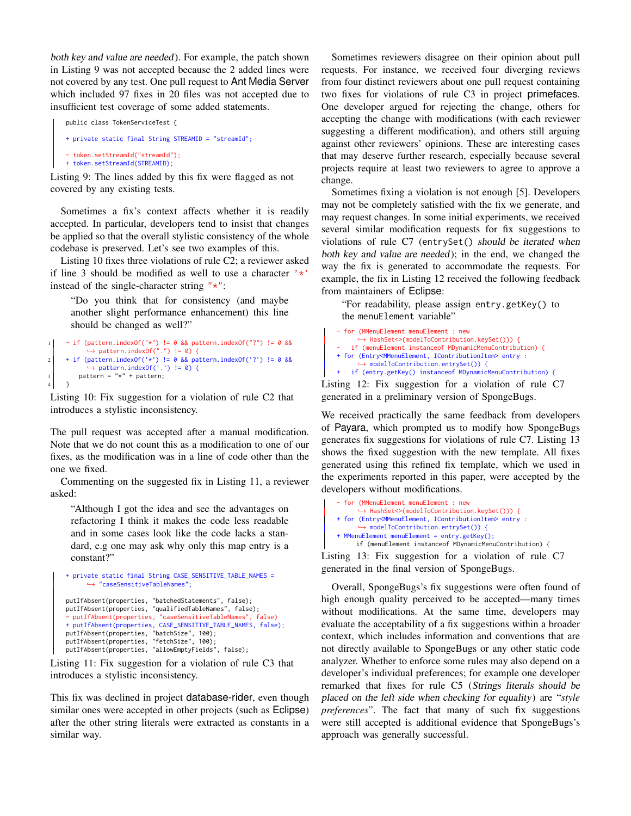both key and value are needed). For example, the patch shown in Listing [9](#page-7-0) was not accepted because the 2 added lines were not covered by any test. One pull request to Ant Media Server which included 97 fixes in 20 files was not accepted due to insufficient test coverage of some added statements.

```
public class TokenServiceTest {
+ private static final String STREAMID = "streamId";
- token.setStreamId("streamId");
+ token.setStreamId(STREAMID);
```
Listing 9: The lines added by this fix were flagged as not covered by any existing tests.

Sometimes a fix's context affects whether it is readily accepted. In particular, developers tend to insist that changes be applied so that the overall stylistic consistency of the whole codebase is preserved. Let's see two examples of this.

Listing [10](#page-7-1) fixes three violations of rule C2; a reviewer asked if line 3 should be modified as well to use a character  $'$ \*' instead of the single-character string  $" \star"$ :

"Do you think that for consistency (and maybe another slight performance enhancement) this line should be changed as well?"

```
1 - if (pattern.indexOf("*") != 0 && pattern.indexOf("?") != 0 &&
\frac{1}{2} + if (pattern.indexOf(".") != 0) {<br>+ if (pattern.indexOf('*') != 0 && pattern.indexOf('?') != 0 &&
              \hookrightarrow pattern.indexOf('.') != 0) {
3 pattern = "*" + pattern;
\overline{4}
```
Listing 10: Fix suggestion for a violation of rule C2 that introduces a stylistic inconsistency.

The pull request was accepted after a manual modification. Note that we do not count this as a modification to one of our fixes, as the modification was in a line of code other than the one we fixed.

Commenting on the suggested fix in Listing [11,](#page-7-2) a reviewer asked:

"Although I got the idea and see the advantages on refactoring I think it makes the code less readable and in some cases look like the code lacks a standard, e.g one may ask why only this map entry is a constant?"

```
+ private static final String CASE_SENSITIVE_TABLE_NAMES =
       ֒→ "caseSensitiveTableNames";
putIfAbsent(properties, "batchedStatements", false);
putIfAbsent(properties, "qualifiedTableNames", false);
  - putIfAbsent(properties, "caseSensitiveTableNames", false)
+ putIfAbsent(properties, CASE_SENSITIVE_TABLE_NAMES, false);
putIfAbsent(properties, "batchSize", 100);
putIfAbsent(properties, "fetchSize", 100);
putIfAbsent(properties, "allowEmptyFields", false);
```
Listing 11: Fix suggestion for a violation of rule C3 that introduces a stylistic inconsistency.

This fix was declined in project database-rider, even though similar ones were accepted in other projects (such as Eclipse) after the other string literals were extracted as constants in a similar way.

Sometimes reviewers disagree on their opinion about pull requests. For instance, we received four diverging reviews from four distinct reviewers about one pull request containing two fixes for violations of rule C3 in project primefaces. One developer argued for rejecting the change, others for accepting the change with modifications (with each reviewer suggesting a different modification), and others still arguing against other reviewers' opinions. These are interesting cases that may deserve further research, especially because several projects require at least two reviewers to agree to approve a change.

Sometimes fixing a violation is not enough [\[5\]](#page-10-4). Developers may not be completely satisfied with the fix we generate, and may request changes. In some initial experiments, we received several similar modification requests for fix suggestions to violations of rule C7 (entrySet() should be iterated when both key and value are needed); in the end, we changed the way the fix is generated to accommodate the requests. For example, the fix in Listing [12](#page-7-3) received the following feedback from maintainers of Eclipse:

"For readability, please assign entry.getKey() to the menuElement variable"

```
- for (MMenuElement menuElement : new
      ֒→ HashSet<>(modelToContribution.keySet())) {
   if (menuElement instanceof MDynamicMenuContribution) {
+ for (Entry<MMenuElement, IContributionItem> entry :
      ֒→ modelToContribution.entrySet()) {
   if (entry.getKey() instanceof MDynamicMenuContribution) {
```
Listing 12: Fix suggestion for a violation of rule C7 generated in a preliminary version of SpongeBugs.

We received practically the same feedback from developers of Payara, which prompted us to modify how SpongeBugs generates fix suggestions for violations of rule C7. Listing [13](#page-7-4) shows the fixed suggestion with the new template. All fixes generated using this refined fix template, which we used in the experiments reported in this paper, were accepted by the developers without modifications.

```
- for (MMenuElement menuElement : new
       ֒→ HashSet<>(modelToContribution.keySet())) {
+ for (Entry<MMenuElement, IContributionItem> entry :
       ֒→ modelToContribution.entrySet()) {
+ MMenuElement menuElement = entry.getKey();
     if (menuElement instanceof MDynamicMenuContribution) {
```
Listing 13: Fix suggestion for a violation of rule C7 generated in the final version of SpongeBugs.

Overall, SpongeBugs's fix suggestions were often found of high enough quality perceived to be accepted—many times without modifications. At the same time, developers may evaluate the acceptability of a fix suggestions within a broader context, which includes information and conventions that are not directly available to SpongeBugs or any other static code analyzer. Whether to enforce some rules may also depend on a developer's individual preferences; for example one developer remarked that fixes for rule C5 (Strings literals should be placed on the left side when checking for equality) are "*style preferences*". The fact that many of such fix suggestions were still accepted is additional evidence that SpongeBugs's approach was generally successful.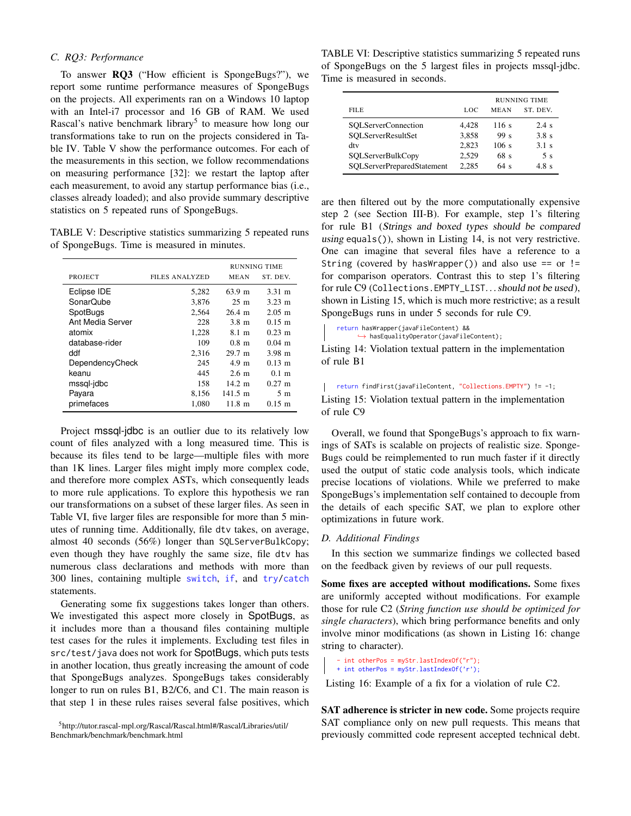## *C. RQ3: Performance*

To answer RQ3 ("How efficient is SpongeBugs?"), we report some runtime performance measures of SpongeBugs on the projects. All experiments ran on a Windows 10 laptop with an Intel-i7 processor and 16 GB of RAM. We used Rascal's native benchmark library<sup>[5](#page-8-1)</sup> to measure how long our transformations take to run on the projects considered in Table [IV.](#page-6-0) Table [V](#page-8-2) show the performance outcomes. For each of the measurements in this section, we follow recommendations on measuring performance [\[32\]](#page-10-31): we restart the laptop after each measurement, to avoid any startup performance bias (i.e., classes already loaded); and also provide summary descriptive statistics on 5 repeated runs of SpongeBugs.

<span id="page-8-2"></span>TABLE V: Descriptive statistics summarizing 5 repeated runs of SpongeBugs. Time is measured in minutes.

|                        |                       | RUNNING TIME         |                      |  |
|------------------------|-----------------------|----------------------|----------------------|--|
| <b>PROJECT</b>         | <b>FILES ANALYZED</b> | MEAN                 | ST. DEV.             |  |
| Eclipse IDE            | 5,282                 | $63.9 \; \mathrm{m}$ | $3.31 \; \mathrm{m}$ |  |
| SonarQube              | 3,876                 | $25 \text{ m}$       | $3.23 \; \text{m}$   |  |
| SpotBugs               | 2,564                 | $26.4 \; \mathrm{m}$ | $2.05 \; \mathrm{m}$ |  |
| Ant Media Server       | 228                   | $3.8 \text{ m}$      | $0.15 \; \mathrm{m}$ |  |
| atomix                 | 1,228                 | 8.1 m                | $0.23 \; \mathrm{m}$ |  |
| database-rider         | 109                   | $0.8~\mathrm{m}$     | $0.04$ m             |  |
| ddf                    | 2.316                 | $29.7 \; \mathrm{m}$ | $3.98 \; \mathrm{m}$ |  |
| <b>DependencyCheck</b> | 245                   | 4.9 <sub>m</sub>     | $0.13 \; \mathrm{m}$ |  |
| keanu                  | 445                   | $2.6 \text{ m}$      | $0.1 \; \mathrm{m}$  |  |
| mssql-jdbc             | 158                   | $14.2 \text{ m}$     | $0.27 \; \mathrm{m}$ |  |
| Payara                 | 8,156                 | $141.5 \text{ m}$    | 5m                   |  |
| primefaces             | 1,080                 | $11.8 \; \mathrm{m}$ | $0.15 \; \mathrm{m}$ |  |

Project mssql-jdbc is an outlier due to its relatively low count of files analyzed with a long measured time. This is because its files tend to be large—multiple files with more than 1K lines. Larger files might imply more complex code, and therefore more complex ASTs, which consequently leads to more rule applications. To explore this hypothesis we ran our transformations on a subset of these larger files. As seen in Table [VI,](#page-8-3) five larger files are responsible for more than 5 minutes of running time. Additionally, file dtv takes, on average, almost 40 seconds (56%) longer than SQLServerBulkCopy; even though they have roughly the same size, file dtv has numerous class declarations and methods with more than 300 lines, containing multiple switch, if, and try/catch statements.

Generating some fix suggestions takes longer than others. We investigated this aspect more closely in SpotBugs, as it includes more than a thousand files containing multiple test cases for the rules it implements. Excluding test files in src/test/java does not work for SpotBugs, which puts tests in another location, thus greatly increasing the amount of code that SpongeBugs analyzes. SpongeBugs takes considerably longer to run on rules B1, B2/C6, and C1. The main reason is that step 1 in these rules raises several false positives, which

<span id="page-8-1"></span><sup>5</sup>[http://tutor.rascal-mpl.org/Rascal/Rascal.html#/Rascal/Libraries/util/](http://tutor.rascal-mpl.org/Rascal/Rascal.html##/Rascal/Libraries/util/Benchmark/benchmark/benchmark.html) [Benchmark/benchmark/benchmark.html](http://tutor.rascal-mpl.org/Rascal/Rascal.html##/Rascal/Libraries/util/Benchmark/benchmark/benchmark.html)

<span id="page-8-3"></span>TABLE VI: Descriptive statistics summarizing 5 repeated runs of SpongeBugs on the 5 largest files in projects mssql-jdbc. Time is measured in seconds.

|                                   |       | RUNNING TIME    |                 |  |  |
|-----------------------------------|-------|-----------------|-----------------|--|--|
| FILE.                             | LOC.  | <b>MEAN</b>     | ST. DEV.        |  |  |
| <b>SOLServerConnection</b>        | 4.428 | 116 s           | $2.4$ s         |  |  |
| SOLServerResultSet                | 3,858 | 99 <sub>s</sub> | 3.8s            |  |  |
| dtv                               | 2.823 | 106s            | $3.1$ s         |  |  |
| <b>SOLServerBulkCopy</b>          | 2.529 | 68 s            | 5 s             |  |  |
| <b>SQLServerPreparedStatement</b> | 2.285 | 64s             | $4.8 \text{ s}$ |  |  |

are then filtered out by the more computationally expensive step 2 (see [Section III-B\)](#page-3-0). For example, step 1's filtering for rule B1 (Strings and boxed types should be compared using equals()), shown in Listing [14,](#page-8-4) is not very restrictive. One can imagine that several files have a reference to a String (covered by hasWrapper()) and also use  $==$  or  $!=$ for comparison operators. Contrast this to step 1's filtering for rule C9 (Collections.EMPTY\_LIST. . . should not be used), shown in Listing [15,](#page-8-5) which is much more restrictive; as a result SpongeBugs runs in under 5 seconds for rule C9.

```
return hasWrapper(javaFileContent) &&
     ֒→ hasEqualityOperator(javaFileContent);
```
Listing 14: Violation textual pattern in the implementation of rule B1

```
return findFirst(javaFileContent, "Collections.EMPTY") != -1;
```
Listing 15: Violation textual pattern in the implementation of rule C9

Overall, we found that SpongeBugs's approach to fix warnings of SATs is scalable on projects of realistic size. Sponge-Bugs could be reimplemented to run much faster if it directly used the output of static code analysis tools, which indicate precise locations of violations. While we preferred to make SpongeBugs's implementation self contained to decouple from the details of each specific SAT, we plan to explore other optimizations in future work.

## <span id="page-8-0"></span>*D. Additional Findings*

In this section we summarize findings we collected based on the feedback given by reviews of our pull requests.

Some fixes are accepted without modifications. Some fixes are uniformly accepted without modifications. For example those for rule C2 (*String function use should be optimized for single characters*), which bring performance benefits and only involve minor modifications (as shown in Listing [16:](#page-8-6) change string to character).

```
- int otherPos = myStr.lastIndexOf("r");
+ int otherPos = myStr.lastIndexOf('r');
```
Listing 16: Example of a fix for a violation of rule C2.

SAT adherence is stricter in new code. Some projects require SAT compliance only on new pull requests. This means that previously committed code represent accepted technical debt.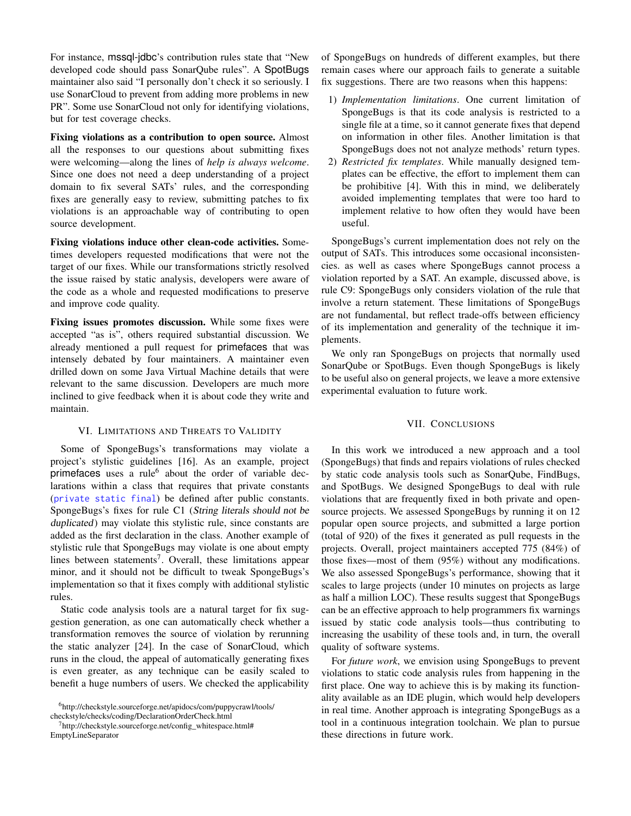For instance, mssql-jdbc's contribution rules state that "New developed code should pass SonarQube rules". A SpotBugs maintainer also said "I personally don't check it so seriously. I use SonarCloud to prevent from adding more problems in new PR". Some use SonarCloud not only for identifying violations, but for test coverage checks.

Fixing violations as a contribution to open source. Almost all the responses to our questions about submitting fixes were welcoming—along the lines of *help is always welcome*. Since one does not need a deep understanding of a project domain to fix several SATs' rules, and the corresponding fixes are generally easy to review, submitting patches to fix violations is an approachable way of contributing to open source development.

Fixing violations induce other clean-code activities. Sometimes developers requested modifications that were not the target of our fixes. While our transformations strictly resolved the issue raised by static analysis, developers were aware of the code as a whole and requested modifications to preserve and improve code quality.

Fixing issues promotes discussion. While some fixes were accepted "as is", others required substantial discussion. We already mentioned a pull request for primefaces that was intensely debated by four maintainers. A maintainer even drilled down on some Java Virtual Machine details that were relevant to the same discussion. Developers are much more inclined to give feedback when it is about code they write and maintain.

## VI. LIMITATIONS AND THREATS TO VALIDITY

<span id="page-9-0"></span>Some of SpongeBugs's transformations may violate a project's stylistic guidelines [\[16\]](#page-10-15). As an example, project primefaces uses a rule<sup>[6](#page-9-2)</sup> about the order of variable declarations within a class that requires that private constants (private static final) be defined after public constants. SpongeBugs's fixes for rule C1 (String literals should not be duplicated) may violate this stylistic rule, since constants are added as the first declaration in the class. Another example of stylistic rule that SpongeBugs may violate is one about empty lines between statements<sup>[7](#page-9-3)</sup>. Overall, these limitations appear minor, and it should not be difficult to tweak SpongeBugs's implementation so that it fixes comply with additional stylistic rules.

Static code analysis tools are a natural target for fix suggestion generation, as one can automatically check whether a transformation removes the source of violation by rerunning the static analyzer [\[24\]](#page-10-23). In the case of SonarCloud, which runs in the cloud, the appeal of automatically generating fixes is even greater, as any technique can be easily scaled to benefit a huge numbers of users. We checked the applicability

<span id="page-9-3"></span><sup>7</sup>[http://checkstyle.sourceforge.net/config\\_whitespace.html#](http://checkstyle.sourceforge.net/config_whitespace.html#EmptyLineSeparator) [EmptyLineSeparator](http://checkstyle.sourceforge.net/config_whitespace.html#EmptyLineSeparator)

of SpongeBugs on hundreds of different examples, but there remain cases where our approach fails to generate a suitable fix suggestions. There are two reasons when this happens:

- 1) *Implementation limitations*. One current limitation of SpongeBugs is that its code analysis is restricted to a single file at a time, so it cannot generate fixes that depend on information in other files. Another limitation is that SpongeBugs does not not analyze methods' return types.
- 2) *Restricted fix templates*. While manually designed templates can be effective, the effort to implement them can be prohibitive [\[4\]](#page-10-3). With this in mind, we deliberately avoided implementing templates that were too hard to implement relative to how often they would have been useful.

SpongeBugs's current implementation does not rely on the output of SATs. This introduces some occasional inconsistencies. as well as cases where SpongeBugs cannot process a violation reported by a SAT. An example, discussed above, is rule C9: SpongeBugs only considers violation of the rule that involve a return statement. These limitations of SpongeBugs are not fundamental, but reflect trade-offs between efficiency of its implementation and generality of the technique it implements.

We only ran SpongeBugs on projects that normally used SonarQube or SpotBugs. Even though SpongeBugs is likely to be useful also on general projects, we leave a more extensive experimental evaluation to future work.

### VII. CONCLUSIONS

<span id="page-9-1"></span>In this work we introduced a new approach and a tool (SpongeBugs) that finds and repairs violations of rules checked by static code analysis tools such as SonarQube, FindBugs, and SpotBugs. We designed SpongeBugs to deal with rule violations that are frequently fixed in both private and opensource projects. We assessed SpongeBugs by running it on 12 popular open source projects, and submitted a large portion (total of 920) of the fixes it generated as pull requests in the projects. Overall, project maintainers accepted 775 (84%) of those fixes—most of them (95%) without any modifications. We also assessed SpongeBugs's performance, showing that it scales to large projects (under 10 minutes on projects as large as half a million LOC). These results suggest that SpongeBugs can be an effective approach to help programmers fix warnings issued by static code analysis tools—thus contributing to increasing the usability of these tools and, in turn, the overall quality of software systems.

For *future work*, we envision using SpongeBugs to prevent violations to static code analysis rules from happening in the first place. One way to achieve this is by making its functionality available as an IDE plugin, which would help developers in real time. Another approach is integrating SpongeBugs as a tool in a continuous integration toolchain. We plan to pursue these directions in future work.

<span id="page-9-2"></span><sup>6</sup>[http://checkstyle.sourceforge.net/apidocs/com/puppycrawl/tools/](http://checkstyle.sourceforge.net/apidocs/com/puppycrawl/tools/checkstyle/checks/coding/DeclarationOrderCheck.html) [checkstyle/checks/coding/DeclarationOrderCheck.html](http://checkstyle.sourceforge.net/apidocs/com/puppycrawl/tools/checkstyle/checks/coding/DeclarationOrderCheck.html)